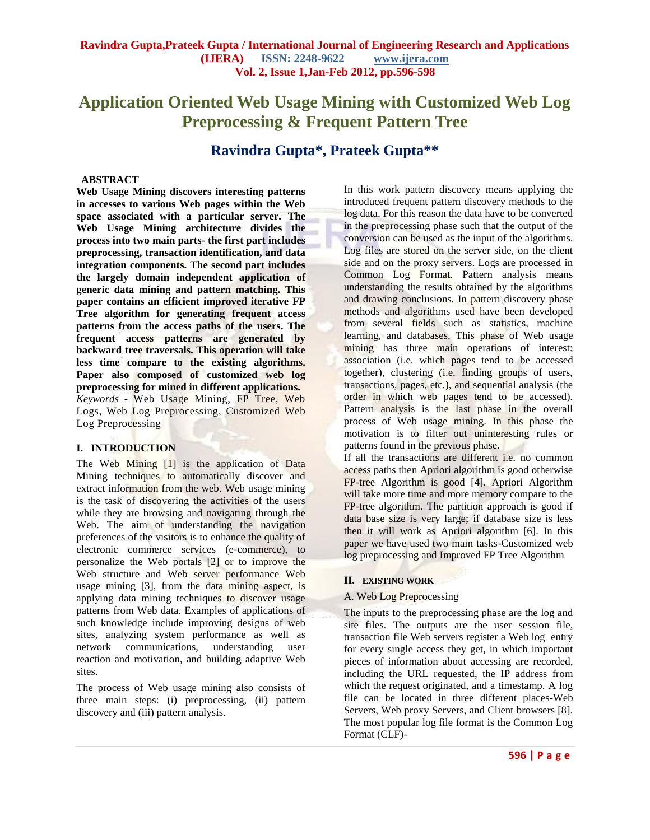# **Application Oriented Web Usage Mining with Customized Web Log Preprocessing & Frequent Pattern Tree**

# **Ravindra Gupta\*, Prateek Gupta\*\***

## **ABSTRACT**

**Web Usage Mining discovers interesting patterns in accesses to various Web pages within the Web space associated with a particular server. The Web Usage Mining architecture divides the process into two main parts- the first part includes preprocessing, transaction identification, and data integration components. The second part includes the largely domain independent application of generic data mining and pattern matching. This paper contains an efficient improved iterative FP Tree algorithm for generating frequent access patterns from the access paths of the users. The frequent access patterns are generated by backward tree traversals. This operation will take less time compare to the existing algorithms. Paper also composed of customized web log preprocessing for mined in different applications.** *Keywords* **-** Web Usage Mining, FP Tree, Web Logs, Web Log Preprocessing, Customized Web Log Preprocessing

#### **I. INTRODUCTION**

The Web Mining [1] is the application of Data Mining techniques to automatically discover and extract information from the web. Web usage mining is the task of discovering the activities of the users while they are browsing and navigating through the Web. The aim of understanding the navigation preferences of the visitors is to enhance the quality of electronic commerce services (e-commerce), to personalize the Web portals [2] or to improve the Web structure and Web server performance Web usage mining [3], from the data mining aspect, is applying data mining techniques to discover usage patterns from Web data. Examples of applications of such knowledge include improving designs of web sites, analyzing system performance as well as network communications, understanding user reaction and motivation, and building adaptive Web sites.

The process of Web usage mining also consists of three main steps: (i) preprocessing, (ii) pattern discovery and (iii) pattern analysis.

In this work pattern discovery means applying the introduced frequent pattern discovery methods to the log data. For this reason the data have to be converted in the preprocessing phase such that the output of the conversion can be used as the input of the algorithms. Log files are stored on the server side, on the client side and on the proxy servers. Logs are processed in Common Log Format. Pattern analysis means understanding the results obtained by the algorithms and drawing conclusions. In pattern discovery phase methods and algorithms used have been developed from several fields such as statistics, machine learning, and databases. This phase of Web usage mining has three main operations of interest: association (i.e. which pages tend to be accessed together), clustering (i.e. finding groups of users, transactions, pages, etc.), and sequential analysis (the order in which web pages tend to be accessed). Pattern analysis is the last phase in the overall process of Web usage mining. In this phase the motivation is to filter out uninteresting rules or patterns found in the previous phase.

If all the transactions are different i.e. no common access paths then Apriori algorithm is good otherwise FP-tree Algorithm is good [4]. Apriori Algorithm will take more time and more memory compare to the FP-tree algorithm. The partition approach is good if data base size is very large; if database size is less then it will work as Apriori algorithm [6]. In this paper we have used two main tasks-Customized web log preprocessing and Improved FP Tree Algorithm

#### **II. EXISTING WORK**

#### A. Web Log Preprocessing

The inputs to the preprocessing phase are the log and site files. The outputs are the user session file, transaction file Web servers register a Web log entry for every single access they get, in which important pieces of information about accessing are recorded, including the URL requested, the IP address from which the request originated, and a timestamp. A log file can be located in three different places-Web Servers, Web proxy Servers, and Client browsers [8]. The most popular log file format is the Common Log Format (CLF)-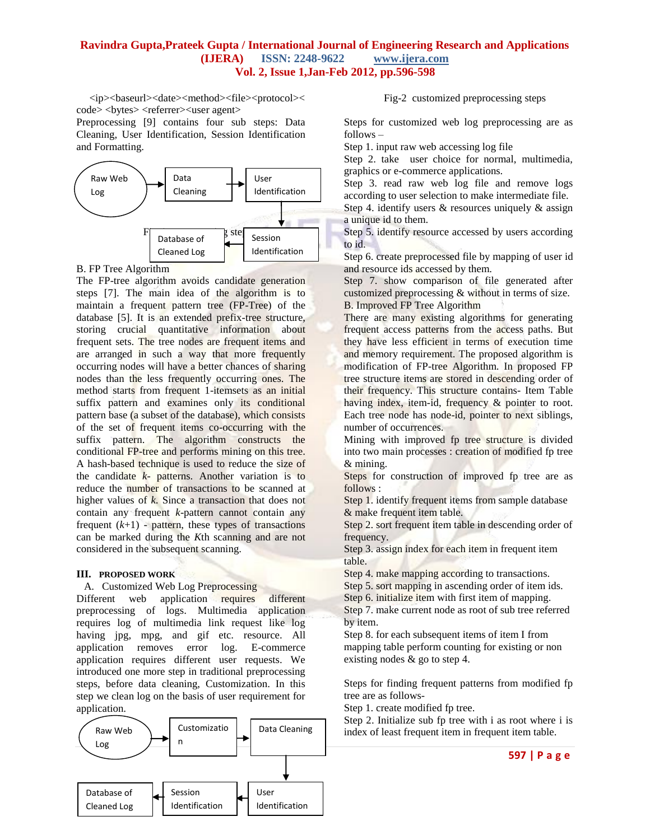# **Ravindra Gupta,Prateek Gupta / International Journal of Engineering Research and Applications (IJERA) ISSN: 2248-9622 www.ijera.com Vol. 2, Issue 1,Jan-Feb 2012, pp.596-598**

<ip><br/>sbaseurl><date><method><file><protocol>< code> <br/> <br/> <br/> <terferrer><user agent>

Preprocessing [9] contains four sub steps: Data Cleaning, User Identification, Session Identification and Formatting.



B. FP Tree Algorithm

The FP-tree algorithm avoids candidate generation steps [7]. The main idea of the algorithm is to maintain a frequent pattern tree (FP-Tree) of the database [5]. It is an extended prefix-tree structure, storing crucial quantitative information about frequent sets. The tree nodes are frequent items and are arranged in such a way that more frequently occurring nodes will have a better chances of sharing nodes than the less frequently occurring ones. The method starts from frequent 1-itemsets as an initial suffix pattern and examines only its conditional pattern base (a subset of the database), which consists of the set of frequent items co-occurring with the suffix pattern. The algorithm constructs the conditional FP-tree and performs mining on this tree. A hash-based technique is used to reduce the size of the candidate *k*- patterns. Another variation is to reduce the number of transactions to be scanned at higher values of *k*. Since a transaction that does not contain any frequent *k*-pattern cannot contain any frequent  $(k+1)$  - pattern, these types of transactions can be marked during the *K*th scanning and are not considered in the subsequent scanning.

#### **III. PROPOSED WORK**

#### A. Customized Web Log Preprocessing

Different web application requires different preprocessing of logs. Multimedia application requires log of multimedia link request like log having jpg, mpg, and gif etc. resource. All application removes error log. E-commerce application requires different user requests. We introduced one more step in traditional preprocessing steps, before data cleaning, Customization. In this step we clean log on the basis of user requirement for application.



Fig-2 customized preprocessing steps

Steps for customized web log preprocessing are as follows –

Step 1. input raw web accessing log file

Step 2. take user choice for normal, multimedia, graphics or e-commerce applications.

Step 3. read raw web log file and remove logs according to user selection to make intermediate file.

Step 4. identify users & resources uniquely & assign a unique id to them.

Step 5. identify resource accessed by users according to id.

Step 6. create preprocessed file by mapping of user id and resource ids accessed by them.

Step 7. show comparison of file generated after customized preprocessing & without in terms of size. B. Improved FP Tree Algorithm

There are many existing algorithms for generating frequent access patterns from the access paths. But they have less efficient in terms of execution time and memory requirement. The proposed algorithm is modification of FP-tree Algorithm. In proposed FP tree structure items are stored in descending order of their frequency. This structure contains- Item Table having index, item-id, frequency & pointer to root. Each tree node has node-id, pointer to next siblings, number of occurrences.

Mining with improved fp tree structure is divided into two main processes : creation of modified fp tree & mining.

Steps for construction of improved fp tree are as follows :

Step 1. identify frequent items from sample database & make frequent item table.

Step 2. sort frequent item table in descending order of frequency.

Step 3. assign index for each item in frequent item table.

Step 4. make mapping according to transactions.

Step 5. sort mapping in ascending order of item ids.

Step 6. initialize item with first item of mapping.

Step 7. make current node as root of sub tree referred by item.

Step 8. for each subsequent items of item I from mapping table perform counting for existing or non existing nodes & go to step 4.

Steps for finding frequent patterns from modified fp tree are as follows-

Step 1. create modified fp tree.

Step 2. Initialize sub fp tree with i as root where i is index of least frequent item in frequent item table.